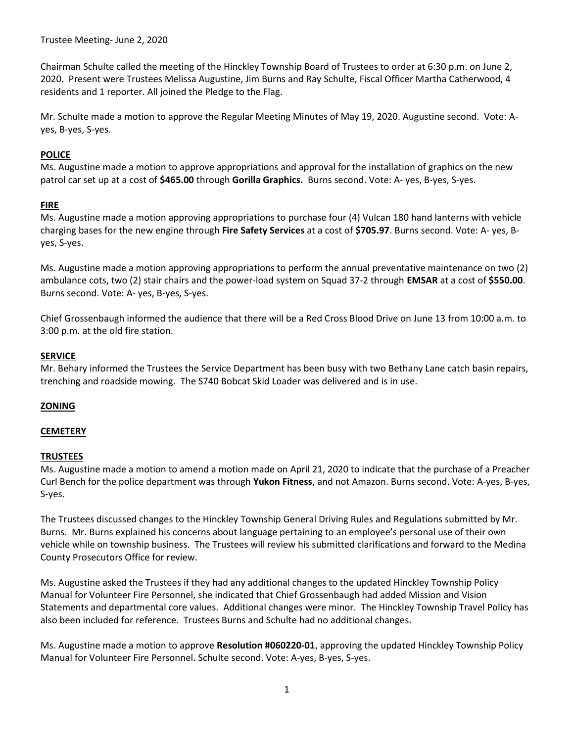Trustee Meeting- June 2, 2020

Chairman Schulte called the meeting of the Hinckley Township Board of Trustees to order at 6:30 p.m. on June 2, 2020. Present were Trustees Melissa Augustine, Jim Burns and Ray Schulte, Fiscal Officer Martha Catherwood, 4 residents and 1 reporter. All joined the Pledge to the Flag.

Mr. Schulte made a motion to approve the Regular Meeting Minutes of May 19, 2020. Augustine second. Vote: Ayes, B-yes, S-yes.

# POLICE

Ms. Augustine made a motion to approve appropriations and approval for the installation of graphics on the new patrol car set up at a cost of \$465.00 through Gorilla Graphics. Burns second. Vote: A- yes, B-yes, S-yes.

### FIRE

Ms. Augustine made a motion approving appropriations to purchase four (4) Vulcan 180 hand lanterns with vehicle charging bases for the new engine through Fire Safety Services at a cost of \$705.97. Burns second. Vote: A-yes, Byes, S-yes.

Ms. Augustine made a motion approving appropriations to perform the annual preventative maintenance on two (2) ambulance cots, two (2) stair chairs and the power-load system on Squad 37-2 through EMSAR at a cost of \$550.00. Burns second. Vote: A- yes, B-yes, S-yes.

Chief Grossenbaugh informed the audience that there will be a Red Cross Blood Drive on June 13 from 10:00 a.m. to 3:00 p.m. at the old fire station.

# **SERVICE**

Mr. Behary informed the Trustees the Service Department has been busy with two Bethany Lane catch basin repairs, trenching and roadside mowing. The S740 Bobcat Skid Loader was delivered and is in use.

### **ZONING**

### **CEMETERY**

### TRUSTEES

Ms. Augustine made a motion to amend a motion made on April 21, 2020 to indicate that the purchase of a Preacher Curl Bench for the police department was through Yukon Fitness, and not Amazon. Burns second. Vote: A-yes, B-yes, S-yes.

The Trustees discussed changes to the Hinckley Township General Driving Rules and Regulations submitted by Mr. Burns. Mr. Burns explained his concerns about language pertaining to an employee's personal use of their own vehicle while on township business. The Trustees will review his submitted clarifications and forward to the Medina County Prosecutors Office for review.

Ms. Augustine asked the Trustees if they had any additional changes to the updated Hinckley Township Policy Manual for Volunteer Fire Personnel, she indicated that Chief Grossenbaugh had added Mission and Vision Statements and departmental core values. Additional changes were minor. The Hinckley Township Travel Policy has also been included for reference. Trustees Burns and Schulte had no additional changes.

Ms. Augustine made a motion to approve **Resolution #060220-01**, approving the updated Hinckley Township Policy Manual for Volunteer Fire Personnel. Schulte second. Vote: A-yes, B-yes, S-yes.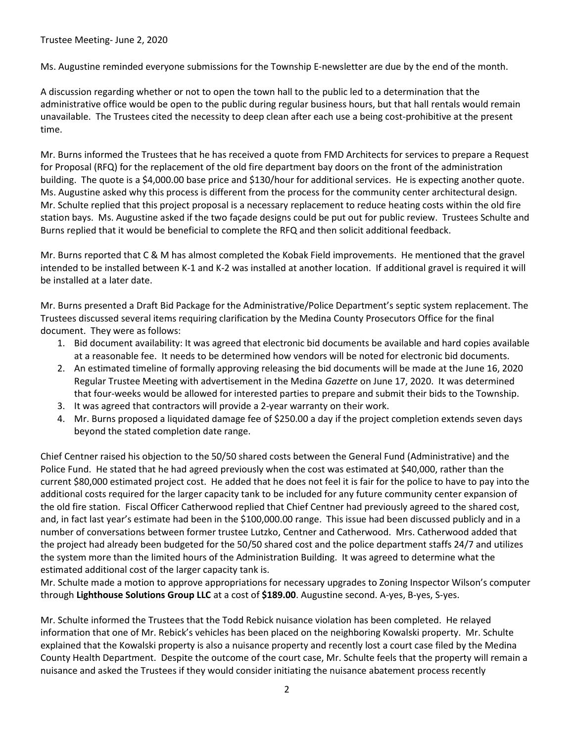# Trustee Meeting- June 2, 2020

Ms. Augustine reminded everyone submissions for the Township E-newsletter are due by the end of the month.

A discussion regarding whether or not to open the town hall to the public led to a determination that the administrative office would be open to the public during regular business hours, but that hall rentals would remain unavailable. The Trustees cited the necessity to deep clean after each use a being cost-prohibitive at the present time.

Mr. Burns informed the Trustees that he has received a quote from FMD Architects for services to prepare a Request for Proposal (RFQ) for the replacement of the old fire department bay doors on the front of the administration building. The quote is a \$4,000.00 base price and \$130/hour for additional services. He is expecting another quote. Ms. Augustine asked why this process is different from the process for the community center architectural design. Mr. Schulte replied that this project proposal is a necessary replacement to reduce heating costs within the old fire station bays. Ms. Augustine asked if the two façade designs could be put out for public review. Trustees Schulte and Burns replied that it would be beneficial to complete the RFQ and then solicit additional feedback.

Mr. Burns reported that C & M has almost completed the Kobak Field improvements. He mentioned that the gravel intended to be installed between K-1 and K-2 was installed at another location. If additional gravel is required it will be installed at a later date.

Mr. Burns presented a Draft Bid Package for the Administrative/Police Department's septic system replacement. The Trustees discussed several items requiring clarification by the Medina County Prosecutors Office for the final document. They were as follows:

- 1. Bid document availability: It was agreed that electronic bid documents be available and hard copies available at a reasonable fee. It needs to be determined how vendors will be noted for electronic bid documents.
- 2. An estimated timeline of formally approving releasing the bid documents will be made at the June 16, 2020 Regular Trustee Meeting with advertisement in the Medina Gazette on June 17, 2020. It was determined that four-weeks would be allowed for interested parties to prepare and submit their bids to the Township.
- 3. It was agreed that contractors will provide a 2-year warranty on their work.
- 4. Mr. Burns proposed a liquidated damage fee of \$250.00 a day if the project completion extends seven days beyond the stated completion date range.

Chief Centner raised his objection to the 50/50 shared costs between the General Fund (Administrative) and the Police Fund. He stated that he had agreed previously when the cost was estimated at \$40,000, rather than the current \$80,000 estimated project cost. He added that he does not feel it is fair for the police to have to pay into the additional costs required for the larger capacity tank to be included for any future community center expansion of the old fire station. Fiscal Officer Catherwood replied that Chief Centner had previously agreed to the shared cost, and, in fact last year's estimate had been in the \$100,000.00 range. This issue had been discussed publicly and in a number of conversations between former trustee Lutzko, Centner and Catherwood. Mrs. Catherwood added that the project had already been budgeted for the 50/50 shared cost and the police department staffs 24/7 and utilizes the system more than the limited hours of the Administration Building. It was agreed to determine what the estimated additional cost of the larger capacity tank is.

Mr. Schulte made a motion to approve appropriations for necessary upgrades to Zoning Inspector Wilson's computer through Lighthouse Solutions Group LLC at a cost of \$189.00. Augustine second. A-yes, B-yes, S-yes.

Mr. Schulte informed the Trustees that the Todd Rebick nuisance violation has been completed. He relayed information that one of Mr. Rebick's vehicles has been placed on the neighboring Kowalski property. Mr. Schulte explained that the Kowalski property is also a nuisance property and recently lost a court case filed by the Medina County Health Department. Despite the outcome of the court case, Mr. Schulte feels that the property will remain a nuisance and asked the Trustees if they would consider initiating the nuisance abatement process recently